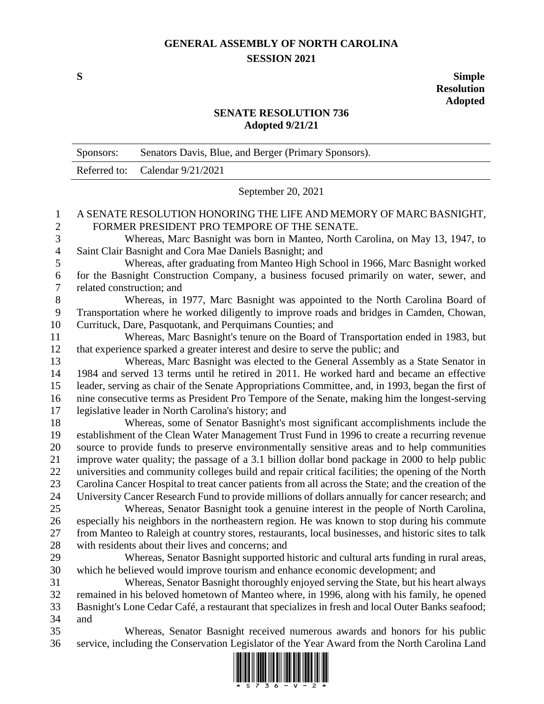## **GENERAL ASSEMBLY OF NORTH CAROLINA SESSION 2021**

**S Simple Resolution Adopted**

## **SENATE RESOLUTION 736 Adopted 9/21/21**

|                | Sponsors:                                                                                                                                                                   | Senators Davis, Blue, and Berger (Primary Sponsors).                                                 |
|----------------|-----------------------------------------------------------------------------------------------------------------------------------------------------------------------------|------------------------------------------------------------------------------------------------------|
|                | Referred to:                                                                                                                                                                | Calendar 9/21/2021                                                                                   |
|                | September 20, 2021                                                                                                                                                          |                                                                                                      |
| 1              | A SENATE RESOLUTION HONORING THE LIFE AND MEMORY OF MARC BASNIGHT,                                                                                                          |                                                                                                      |
| $\mathbf{2}$   | FORMER PRESIDENT PRO TEMPORE OF THE SENATE.                                                                                                                                 |                                                                                                      |
| 3              | Whereas, Marc Basnight was born in Manteo, North Carolina, on May 13, 1947, to                                                                                              |                                                                                                      |
| $\overline{4}$ | Saint Clair Basnight and Cora Mae Daniels Basnight; and                                                                                                                     |                                                                                                      |
| 5              | Whereas, after graduating from Manteo High School in 1966, Marc Basnight worked<br>for the Basnight Construction Company, a business focused primarily on water, sewer, and |                                                                                                      |
| 6<br>$\tau$    |                                                                                                                                                                             |                                                                                                      |
|                | related construction; and<br>Whereas, in 1977, Marc Basnight was appointed to the North Carolina Board of                                                                   |                                                                                                      |
| 8<br>9         | Transportation where he worked diligently to improve roads and bridges in Camden, Chowan,                                                                                   |                                                                                                      |
| 10             | Currituck, Dare, Pasquotank, and Perquimans Counties; and                                                                                                                   |                                                                                                      |
| 11             | Whereas, Marc Basnight's tenure on the Board of Transportation ended in 1983, but                                                                                           |                                                                                                      |
| 12             | that experience sparked a greater interest and desire to serve the public; and                                                                                              |                                                                                                      |
| 13             | Whereas, Marc Basnight was elected to the General Assembly as a State Senator in                                                                                            |                                                                                                      |
| 14             |                                                                                                                                                                             | 1984 and served 13 terms until he retired in 2011. He worked hard and became an effective            |
| 15             |                                                                                                                                                                             | leader, serving as chair of the Senate Appropriations Committee, and, in 1993, began the first of    |
| 16             |                                                                                                                                                                             | nine consecutive terms as President Pro Tempore of the Senate, making him the longest-serving        |
| 17             |                                                                                                                                                                             | legislative leader in North Carolina's history; and                                                  |
| 18             | Whereas, some of Senator Basnight's most significant accomplishments include the                                                                                            |                                                                                                      |
| 19             |                                                                                                                                                                             | establishment of the Clean Water Management Trust Fund in 1996 to create a recurring revenue         |
| 20             | source to provide funds to preserve environmentally sensitive areas and to help communities                                                                                 |                                                                                                      |
| 21             | improve water quality; the passage of a 3.1 billion dollar bond package in 2000 to help public                                                                              |                                                                                                      |
| 22             | universities and community colleges build and repair critical facilities; the opening of the North                                                                          |                                                                                                      |
| 23             |                                                                                                                                                                             | Carolina Cancer Hospital to treat cancer patients from all across the State; and the creation of the |
| 24             |                                                                                                                                                                             | University Cancer Research Fund to provide millions of dollars annually for cancer research; and     |
| 25             | Whereas, Senator Basnight took a genuine interest in the people of North Carolina,                                                                                          |                                                                                                      |
| 26             |                                                                                                                                                                             | especially his neighbors in the northeastern region. He was known to stop during his commute         |
| 27             |                                                                                                                                                                             | from Manteo to Raleigh at country stores, restaurants, local businesses, and historic sites to talk  |
| 28             |                                                                                                                                                                             | with residents about their lives and concerns; and                                                   |
| 29             |                                                                                                                                                                             | Whereas, Senator Basnight supported historic and cultural arts funding in rural areas,               |
| 30             |                                                                                                                                                                             | which he believed would improve tourism and enhance economic development; and                        |
| 31             |                                                                                                                                                                             | Whereas, Senator Basnight thoroughly enjoyed serving the State, but his heart always                 |
| 32             |                                                                                                                                                                             | remained in his beloved hometown of Manteo where, in 1996, along with his family, he opened          |
| 33             | Basnight's Lone Cedar Café, a restaurant that specializes in fresh and local Outer Banks seafood;                                                                           |                                                                                                      |
| 34             | and                                                                                                                                                                         |                                                                                                      |
| 35             |                                                                                                                                                                             | Whereas, Senator Basnight received numerous awards and honors for his public                         |
| 36             |                                                                                                                                                                             | service, including the Conservation Legislator of the Year Award from the North Carolina Land        |